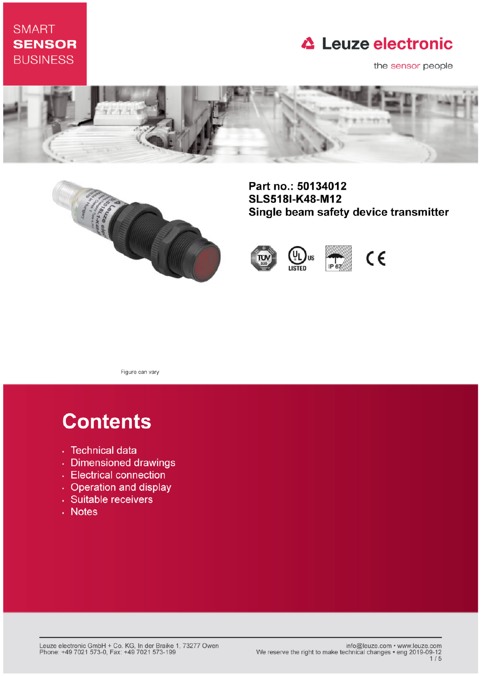### **SMART SENSOR BUSINESS**

## **△ Leuze electronic**

the sensor people





Part no.: 50134012 **SLS518I-K48-M12** Single beam safety device transmitter





Figure can vary

# **Contents**

- · Technical data
- · Dimensioned drawings
- Electrical connection
- Operation and display
- · Suitable receivers
- . Notes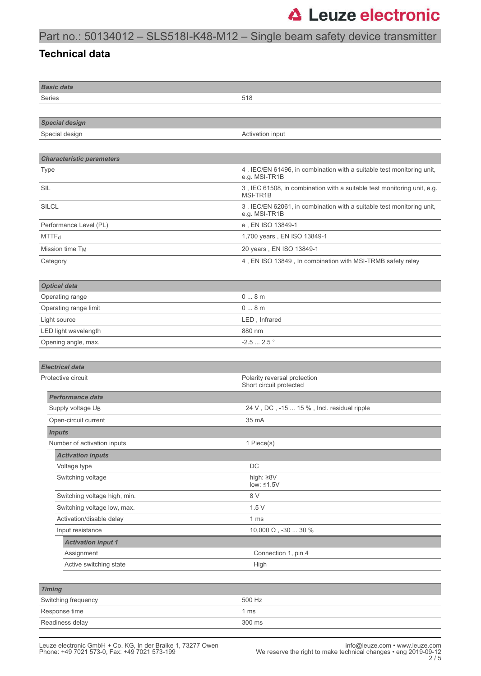### Part no.: 50134012 – SLS518I-K48-M12 – Single beam safety device transmitter

#### **Technical data**

| <b>Basic data</b>                |                                                                                        |  |
|----------------------------------|----------------------------------------------------------------------------------------|--|
| Series                           | 518                                                                                    |  |
|                                  |                                                                                        |  |
| <b>Special design</b>            |                                                                                        |  |
| Special design                   | Activation input                                                                       |  |
|                                  |                                                                                        |  |
| <b>Characteristic parameters</b> |                                                                                        |  |
| <b>Type</b>                      | 4, IEC/EN 61496, in combination with a suitable test monitoring unit,<br>e.g. MSI-TR1B |  |
| SIL                              | 3, IEC 61508, in combination with a suitable test monitoring unit, e.g.<br>MSI-TR1B    |  |
| <b>SILCL</b>                     | 3, IEC/EN 62061, in combination with a suitable test monitoring unit,<br>e.g. MSI-TR1B |  |
| Performance Level (PL)           | e, EN ISO 13849-1                                                                      |  |
| MTTF <sub>d</sub>                | 1,700 years, EN ISO 13849-1                                                            |  |
| Mission time T <sub>M</sub>      | 20 years, EN ISO 13849-1                                                               |  |
| Category                         | 4, EN ISO 13849, In combination with MSI-TRMB safety relay                             |  |
|                                  |                                                                                        |  |
| <b>Optical data</b>              |                                                                                        |  |
| Operating range                  | 08m                                                                                    |  |
| Operating range limit            | 08m                                                                                    |  |
| Light source                     | LED, Infrared                                                                          |  |
| LED light wavelength             | 880 nm                                                                                 |  |
| Opening angle, max.              | $-2.52.5$ °                                                                            |  |
|                                  |                                                                                        |  |
| <b>Electrical data</b>           |                                                                                        |  |
| Protective circuit               | Polarity reversal protection<br>Short circuit protected                                |  |
| Performance data                 |                                                                                        |  |
| Supply voltage UB                | 24 V, DC, -15  15 %, Incl. residual ripple                                             |  |
| Open-circuit current             | 35 mA                                                                                  |  |
| <b>Inputs</b>                    |                                                                                        |  |
| Number of activation inputs      | 1 Piece(s)                                                                             |  |
| <b>Activation inputs</b>         |                                                                                        |  |
| Voltage type                     | DC                                                                                     |  |
| Switching voltage                | high: $\geq 8V$<br>low: $\leq 1.5V$                                                    |  |
| Switching voltage high, min.     | 8 V                                                                                    |  |
| Switching voltage low, max.      | 1.5V                                                                                   |  |
| Activation/disable delay         | 1 <sub>ms</sub>                                                                        |  |
| Input resistance                 | $10,\!000$ $\Omega$ , -30 $\ldots$ $30$ $\%$                                           |  |
| <b>Activation input 1</b>        |                                                                                        |  |
| Assignment                       | Connection 1, pin 4                                                                    |  |
| Active switching state           | High                                                                                   |  |
|                                  |                                                                                        |  |
| <b>Timing</b>                    |                                                                                        |  |
| Switching frequency              | 500 Hz                                                                                 |  |
| Response time                    | 1 <sub>ms</sub>                                                                        |  |
| Readiness delay                  | 300 ms                                                                                 |  |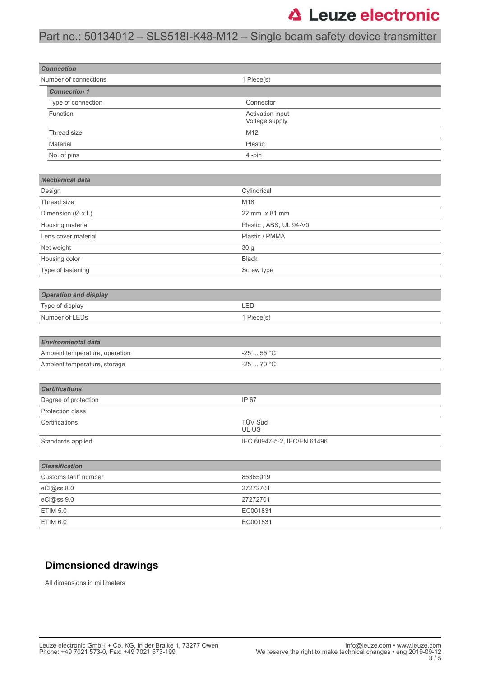### Part no.: 50134012 – SLS518I-K48-M12 – Single beam safety device transmitter

| <b>Connection</b>              |                                    |  |  |
|--------------------------------|------------------------------------|--|--|
| Number of connections          | 1 Piece(s)                         |  |  |
| <b>Connection 1</b>            |                                    |  |  |
| Type of connection             | Connector                          |  |  |
| Function                       | Activation input<br>Voltage supply |  |  |
| Thread size                    | M12                                |  |  |
| Material                       | Plastic                            |  |  |
| No. of pins                    | 4-pin                              |  |  |
|                                |                                    |  |  |
| <b>Mechanical data</b>         |                                    |  |  |
| Design                         | Cylindrical                        |  |  |
| Thread size                    | M18                                |  |  |
| Dimension (Ø x L)              | 22 mm x 81 mm                      |  |  |
| Housing material               | Plastic, ABS, UL 94-V0             |  |  |
| Lens cover material            | Plastic / PMMA                     |  |  |
| Net weight                     | 30 g                               |  |  |
| Housing color                  | <b>Black</b>                       |  |  |
| Type of fastening              | Screw type                         |  |  |
|                                |                                    |  |  |
| <b>Operation and display</b>   |                                    |  |  |
| Type of display                | LED                                |  |  |
| Number of LEDs                 | 1 Piece(s)                         |  |  |
|                                |                                    |  |  |
| <b>Environmental data</b>      |                                    |  |  |
| Ambient temperature, operation | $-2555$ °C                         |  |  |
| Ambient temperature, storage   | -25  70 °C                         |  |  |
|                                |                                    |  |  |
| <b>Certifications</b>          |                                    |  |  |
| Degree of protection           | IP 67                              |  |  |
| Protection class               |                                    |  |  |
| Certifications                 | <b>TÜV Süd</b><br>UL US            |  |  |
| Standards applied              | IEC 60947-5-2, IEC/EN 61496        |  |  |
|                                |                                    |  |  |
| <b>Classification</b>          |                                    |  |  |
| Customs tariff number          | 85365019                           |  |  |
| eCl@ss 8.0                     | 27272701                           |  |  |
| eCl@ss 9.0                     | 27272701                           |  |  |
| <b>ETIM 5.0</b>                | EC001831                           |  |  |
| ETIM 6.0                       | EC001831                           |  |  |

### **Dimensioned drawings**

All dimensions in millimeters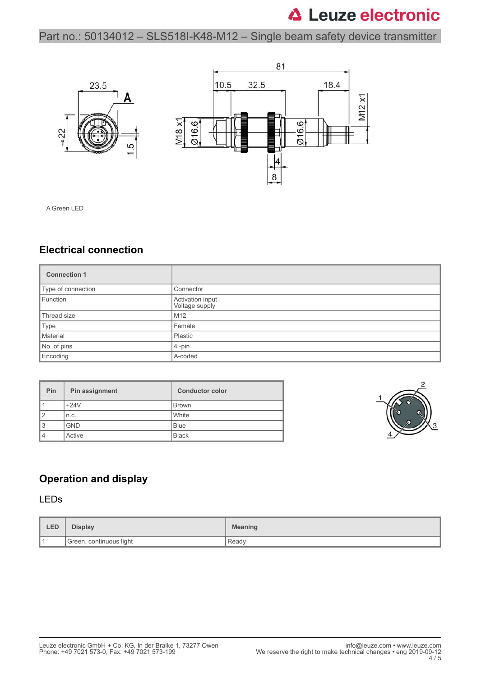Part no.: 50134012 – SLS518I-K48-M12 – Single beam safety device transmitter



A Green LED

#### **Electrical connection**

| <b>Connection 1</b> |                                    |  |
|---------------------|------------------------------------|--|
| Type of connection  | Connector                          |  |
| Function            | Activation input<br>Voltage supply |  |
| Thread size         | M12                                |  |
| Type                | Female                             |  |
| Material            | Plastic                            |  |
| No. of pins         | $4$ -pin                           |  |
| Encoding            | A-coded                            |  |

| Pin | Pin assignment | <b>Conductor color</b> |
|-----|----------------|------------------------|
|     | $+24V$         | <b>Brown</b>           |
| 2   | n.c.           | White                  |
| 3   | <b>GND</b>     | <b>Blue</b>            |
|     | Active         | <b>Black</b>           |



### **Operation and display**

#### LEDs

| <b>LED</b> | <b>Display</b>          | <b>Meaning</b> |
|------------|-------------------------|----------------|
|            | Green, continuous light | Ready          |